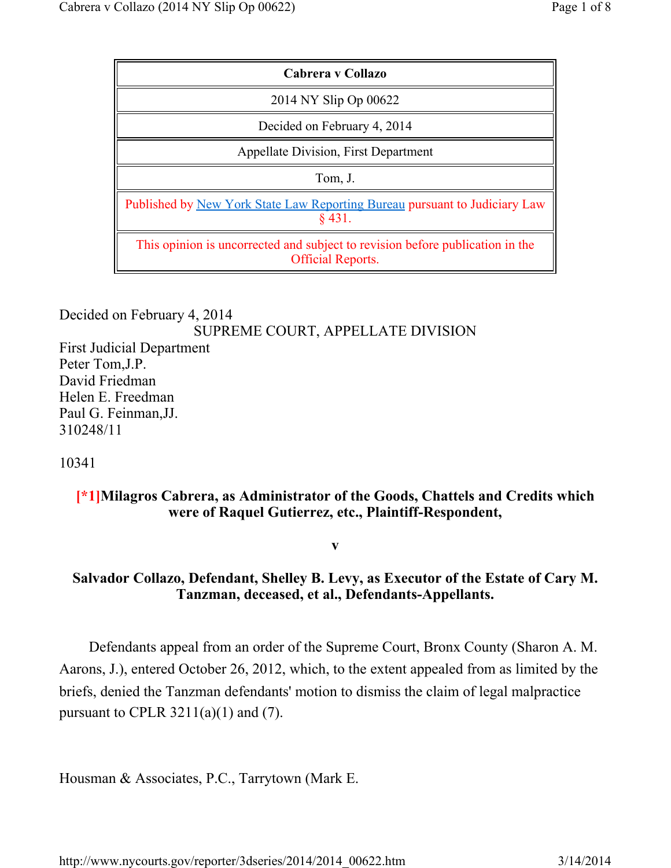| Cabrera y Collazo                                                                                         |
|-----------------------------------------------------------------------------------------------------------|
| 2014 NY Slip Op 00622                                                                                     |
| Decided on February 4, 2014                                                                               |
| <b>Appellate Division, First Department</b>                                                               |
| Tom, J.                                                                                                   |
| Published by New York State Law Reporting Bureau pursuant to Judiciary Law<br>$§$ 431.                    |
| This opinion is uncorrected and subject to revision before publication in the<br><b>Official Reports.</b> |

### Decided on February 4, 2014 SUPREME COURT, APPELLATE DIVISION First Judicial Department Peter Tom,J.P. David Friedman Helen E. Freedman Paul G. Feinman,JJ. 310248/11

10341

## **[\*1]Milagros Cabrera, as Administrator of the Goods, Chattels and Credits which were of Raquel Gutierrez, etc., Plaintiff-Respondent,**

**v**

# **Salvador Collazo, Defendant, Shelley B. Levy, as Executor of the Estate of Cary M. Tanzman, deceased, et al., Defendants-Appellants.**

Defendants appeal from an order of the Supreme Court, Bronx County (Sharon A. M. Aarons, J.), entered October 26, 2012, which, to the extent appealed from as limited by the briefs, denied the Tanzman defendants' motion to dismiss the claim of legal malpractice pursuant to CPLR  $3211(a)(1)$  and (7).

Housman & Associates, P.C., Tarrytown (Mark E.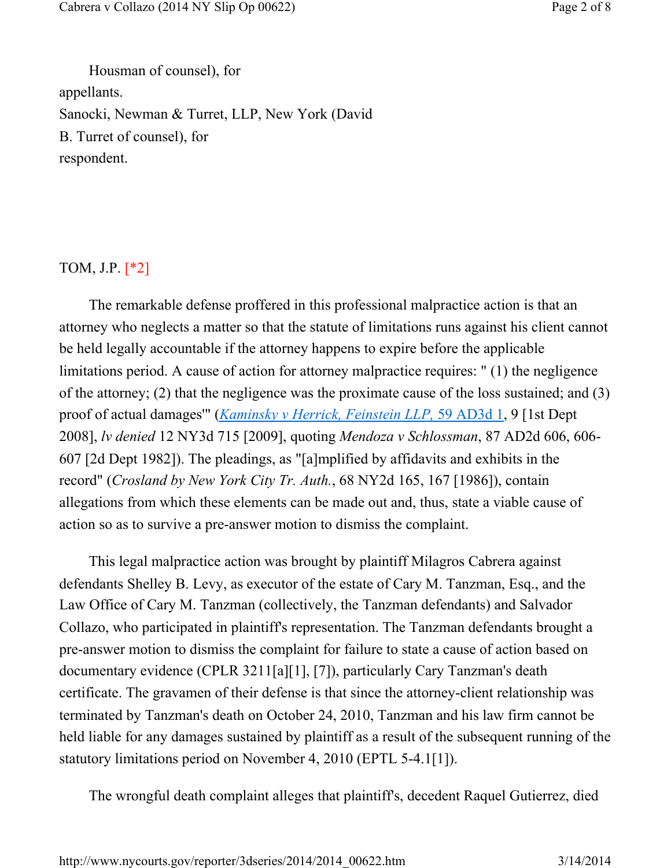Housman of counsel), for appellants. Sanocki, Newman & Turret, LLP, New York (David B. Turret of counsel), for respondent.

## TOM, J.P. [\*2]

The remarkable defense proffered in this professional malpractice action is that an attorney who neglects a matter so that the statute of limitations runs against his client cannot be held legally accountable if the attorney happens to expire before the applicable limitations period. A cause of action for attorney malpractice requires: " (1) the negligence of the attorney; (2) that the negligence was the proximate cause of the loss sustained; and (3) proof of actual damages'" (*Kaminsky v Herrick, Feinstein LLP,* 59 AD3d 1, 9 [1st Dept 2008], *lv denied* 12 NY3d 715 [2009], quoting *Mendoza v Schlossman*, 87 AD2d 606, 606- 607 [2d Dept 1982]). The pleadings, as "[a]mplified by affidavits and exhibits in the record" (*Crosland by New York City Tr. Auth.*, 68 NY2d 165, 167 [1986]), contain allegations from which these elements can be made out and, thus, state a viable cause of action so as to survive a pre-answer motion to dismiss the complaint.

This legal malpractice action was brought by plaintiff Milagros Cabrera against defendants Shelley B. Levy, as executor of the estate of Cary M. Tanzman, Esq., and the Law Office of Cary M. Tanzman (collectively, the Tanzman defendants) and Salvador Collazo, who participated in plaintiff's representation. The Tanzman defendants brought a pre-answer motion to dismiss the complaint for failure to state a cause of action based on documentary evidence (CPLR 3211[a][1], [7]), particularly Cary Tanzman's death certificate. The gravamen of their defense is that since the attorney-client relationship was terminated by Tanzman's death on October 24, 2010, Tanzman and his law firm cannot be held liable for any damages sustained by plaintiff as a result of the subsequent running of the statutory limitations period on November 4, 2010 (EPTL 5-4.1[1]).

The wrongful death complaint alleges that plaintiff's, decedent Raquel Gutierrez, died

http://www.nycourts.gov/reporter/3dseries/2014/2014\_00622.htm 3/14/2014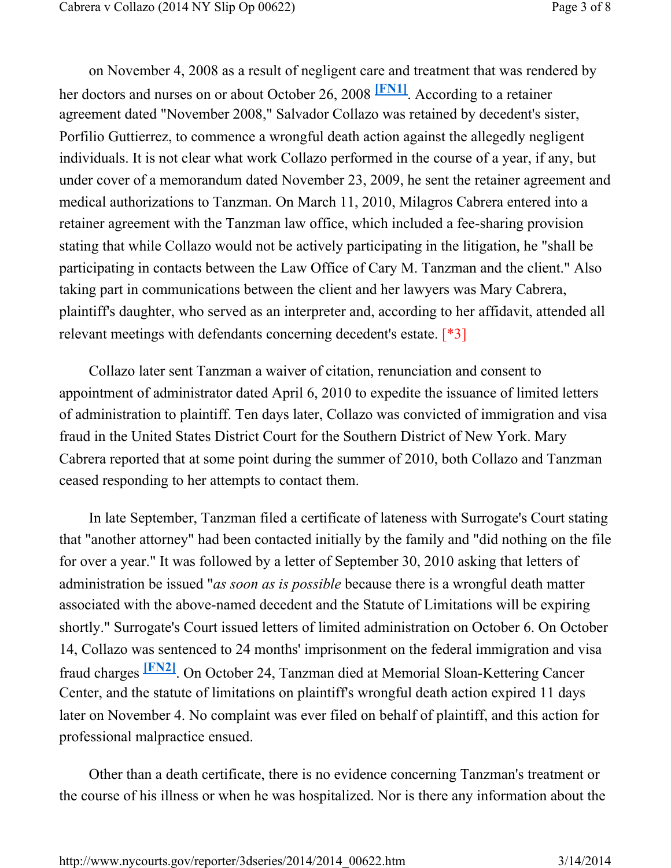on November 4, 2008 as a result of negligent care and treatment that was rendered by her doctors and nurses on or about October 26, 2008 **[FN1]**. According to a retainer agreement dated "November 2008," Salvador Collazo was retained by decedent's sister, Porfilio Guttierrez, to commence a wrongful death action against the allegedly negligent individuals. It is not clear what work Collazo performed in the course of a year, if any, but under cover of a memorandum dated November 23, 2009, he sent the retainer agreement and medical authorizations to Tanzman. On March 11, 2010, Milagros Cabrera entered into a retainer agreement with the Tanzman law office, which included a fee-sharing provision stating that while Collazo would not be actively participating in the litigation, he "shall be participating in contacts between the Law Office of Cary M. Tanzman and the client." Also taking part in communications between the client and her lawyers was Mary Cabrera, plaintiff's daughter, who served as an interpreter and, according to her affidavit, attended all relevant meetings with defendants concerning decedent's estate. [\*3]

Collazo later sent Tanzman a waiver of citation, renunciation and consent to appointment of administrator dated April 6, 2010 to expedite the issuance of limited letters of administration to plaintiff. Ten days later, Collazo was convicted of immigration and visa fraud in the United States District Court for the Southern District of New York. Mary Cabrera reported that at some point during the summer of 2010, both Collazo and Tanzman ceased responding to her attempts to contact them.

In late September, Tanzman filed a certificate of lateness with Surrogate's Court stating that "another attorney" had been contacted initially by the family and "did nothing on the file for over a year." It was followed by a letter of September 30, 2010 asking that letters of administration be issued "*as soon as is possible* because there is a wrongful death matter associated with the above-named decedent and the Statute of Limitations will be expiring shortly." Surrogate's Court issued letters of limited administration on October 6. On October 14, Collazo was sentenced to 24 months' imprisonment on the federal immigration and visa fraud charges **[FN2]**. On October 24, Tanzman died at Memorial Sloan-Kettering Cancer Center, and the statute of limitations on plaintiff's wrongful death action expired 11 days later on November 4. No complaint was ever filed on behalf of plaintiff, and this action for professional malpractice ensued.

Other than a death certificate, there is no evidence concerning Tanzman's treatment or the course of his illness or when he was hospitalized. Nor is there any information about the

http://www.nycourts.gov/reporter/3dseries/2014/2014\_00622.htm 3/14/2014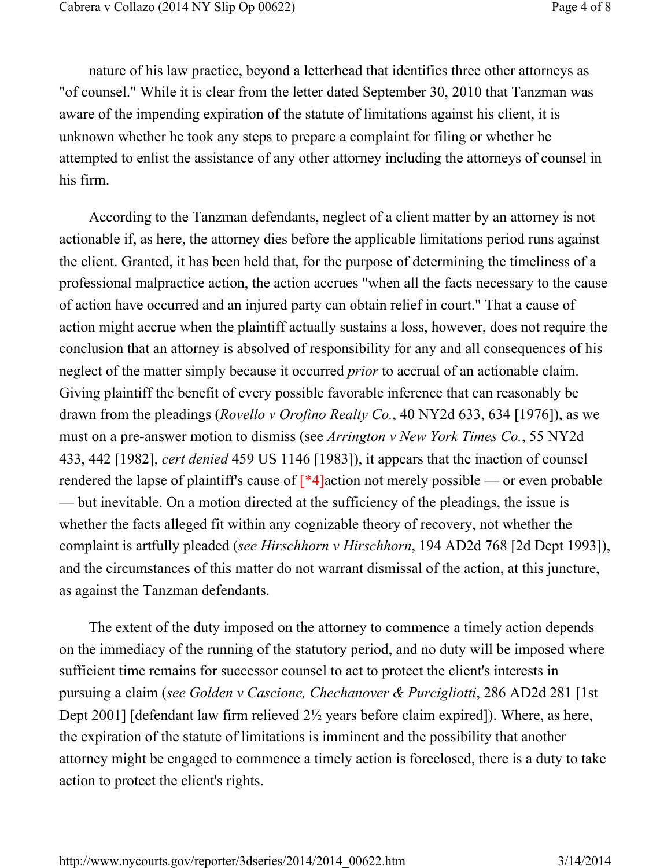nature of his law practice, beyond a letterhead that identifies three other attorneys as "of counsel." While it is clear from the letter dated September 30, 2010 that Tanzman was aware of the impending expiration of the statute of limitations against his client, it is unknown whether he took any steps to prepare a complaint for filing or whether he attempted to enlist the assistance of any other attorney including the attorneys of counsel in his firm.

According to the Tanzman defendants, neglect of a client matter by an attorney is not actionable if, as here, the attorney dies before the applicable limitations period runs against the client. Granted, it has been held that, for the purpose of determining the timeliness of a professional malpractice action, the action accrues "when all the facts necessary to the cause of action have occurred and an injured party can obtain relief in court." That a cause of action might accrue when the plaintiff actually sustains a loss, however, does not require the conclusion that an attorney is absolved of responsibility for any and all consequences of his neglect of the matter simply because it occurred *prior* to accrual of an actionable claim. Giving plaintiff the benefit of every possible favorable inference that can reasonably be drawn from the pleadings (*Rovello v Orofino Realty Co.*, 40 NY2d 633, 634 [1976]), as we must on a pre-answer motion to dismiss (see *Arrington v New York Times Co.*, 55 NY2d 433, 442 [1982], *cert denied* 459 US 1146 [1983]), it appears that the inaction of counsel rendered the lapse of plaintiff's cause of  $\lceil *4 \rceil$  action not merely possible — or even probable — but inevitable. On a motion directed at the sufficiency of the pleadings, the issue is whether the facts alleged fit within any cognizable theory of recovery, not whether the complaint is artfully pleaded (*see Hirschhorn v Hirschhorn*, 194 AD2d 768 [2d Dept 1993]), and the circumstances of this matter do not warrant dismissal of the action, at this juncture, as against the Tanzman defendants.

The extent of the duty imposed on the attorney to commence a timely action depends on the immediacy of the running of the statutory period, and no duty will be imposed where sufficient time remains for successor counsel to act to protect the client's interests in pursuing a claim (*see Golden v Cascione, Chechanover & Purcigliotti*, 286 AD2d 281 [1st Dept 2001] [defendant law firm relieved 2½ years before claim expired]). Where, as here, the expiration of the statute of limitations is imminent and the possibility that another attorney might be engaged to commence a timely action is foreclosed, there is a duty to take action to protect the client's rights.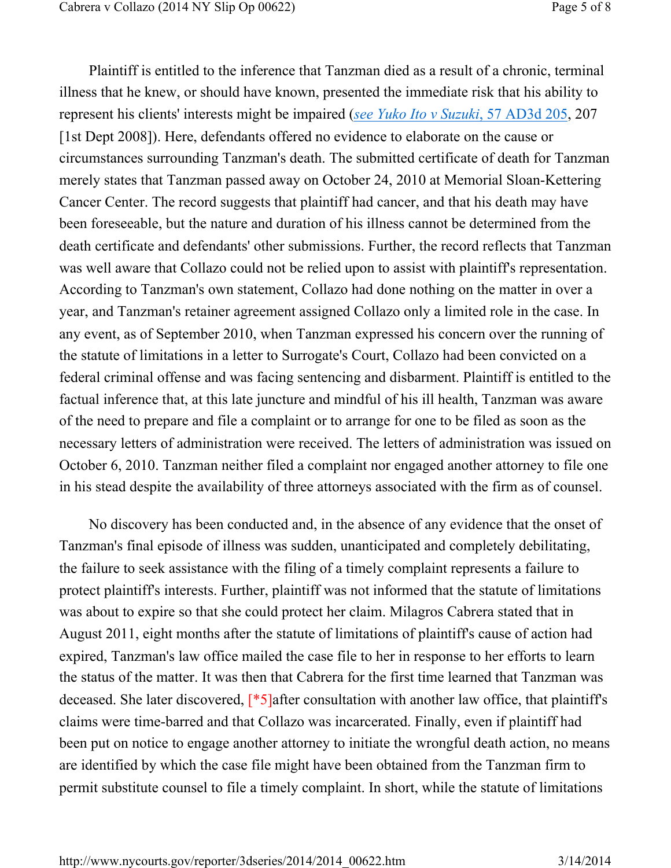Plaintiff is entitled to the inference that Tanzman died as a result of a chronic, terminal illness that he knew, or should have known, presented the immediate risk that his ability to represent his clients' interests might be impaired (*see Yuko Ito v Suzuki*, 57 AD3d 205, 207 [1st Dept 2008]). Here, defendants offered no evidence to elaborate on the cause or circumstances surrounding Tanzman's death. The submitted certificate of death for Tanzman merely states that Tanzman passed away on October 24, 2010 at Memorial Sloan-Kettering Cancer Center. The record suggests that plaintiff had cancer, and that his death may have been foreseeable, but the nature and duration of his illness cannot be determined from the death certificate and defendants' other submissions. Further, the record reflects that Tanzman was well aware that Collazo could not be relied upon to assist with plaintiff's representation. According to Tanzman's own statement, Collazo had done nothing on the matter in over a year, and Tanzman's retainer agreement assigned Collazo only a limited role in the case. In any event, as of September 2010, when Tanzman expressed his concern over the running of the statute of limitations in a letter to Surrogate's Court, Collazo had been convicted on a federal criminal offense and was facing sentencing and disbarment. Plaintiff is entitled to the factual inference that, at this late juncture and mindful of his ill health, Tanzman was aware of the need to prepare and file a complaint or to arrange for one to be filed as soon as the necessary letters of administration were received. The letters of administration was issued on October 6, 2010. Tanzman neither filed a complaint nor engaged another attorney to file one in his stead despite the availability of three attorneys associated with the firm as of counsel.

No discovery has been conducted and, in the absence of any evidence that the onset of Tanzman's final episode of illness was sudden, unanticipated and completely debilitating, the failure to seek assistance with the filing of a timely complaint represents a failure to protect plaintiff's interests. Further, plaintiff was not informed that the statute of limitations was about to expire so that she could protect her claim. Milagros Cabrera stated that in August 2011, eight months after the statute of limitations of plaintiff's cause of action had expired, Tanzman's law office mailed the case file to her in response to her efforts to learn the status of the matter. It was then that Cabrera for the first time learned that Tanzman was deceased. She later discovered, [\*5]after consultation with another law office, that plaintiff's claims were time-barred and that Collazo was incarcerated. Finally, even if plaintiff had been put on notice to engage another attorney to initiate the wrongful death action, no means are identified by which the case file might have been obtained from the Tanzman firm to permit substitute counsel to file a timely complaint. In short, while the statute of limitations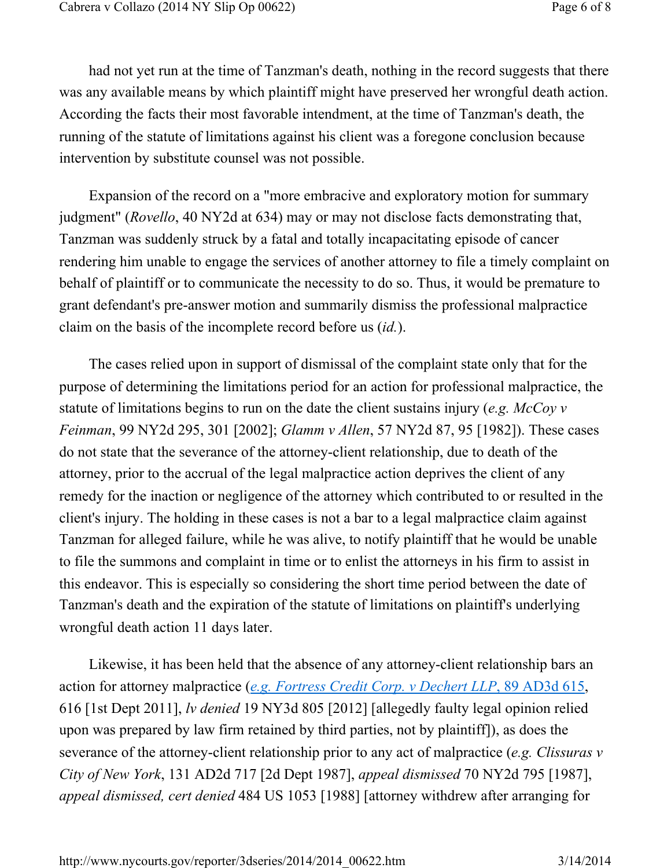had not yet run at the time of Tanzman's death, nothing in the record suggests that there was any available means by which plaintiff might have preserved her wrongful death action. According the facts their most favorable intendment, at the time of Tanzman's death, the running of the statute of limitations against his client was a foregone conclusion because intervention by substitute counsel was not possible.

Expansion of the record on a "more embracive and exploratory motion for summary judgment" (*Rovello*, 40 NY2d at 634) may or may not disclose facts demonstrating that, Tanzman was suddenly struck by a fatal and totally incapacitating episode of cancer rendering him unable to engage the services of another attorney to file a timely complaint on behalf of plaintiff or to communicate the necessity to do so. Thus, it would be premature to grant defendant's pre-answer motion and summarily dismiss the professional malpractice claim on the basis of the incomplete record before us (*id.*).

The cases relied upon in support of dismissal of the complaint state only that for the purpose of determining the limitations period for an action for professional malpractice, the statute of limitations begins to run on the date the client sustains injury (*e.g. McCoy v Feinman*, 99 NY2d 295, 301 [2002]; *Glamm v Allen*, 57 NY2d 87, 95 [1982]). These cases do not state that the severance of the attorney-client relationship, due to death of the attorney, prior to the accrual of the legal malpractice action deprives the client of any remedy for the inaction or negligence of the attorney which contributed to or resulted in the client's injury. The holding in these cases is not a bar to a legal malpractice claim against Tanzman for alleged failure, while he was alive, to notify plaintiff that he would be unable to file the summons and complaint in time or to enlist the attorneys in his firm to assist in this endeavor. This is especially so considering the short time period between the date of Tanzman's death and the expiration of the statute of limitations on plaintiff's underlying wrongful death action 11 days later.

Likewise, it has been held that the absence of any attorney-client relationship bars an action for attorney malpractice (*e.g. Fortress Credit Corp. v Dechert LLP*, 89 AD3d 615, 616 [1st Dept 2011], *lv denied* 19 NY3d 805 [2012] [allegedly faulty legal opinion relied upon was prepared by law firm retained by third parties, not by plaintiff]), as does the severance of the attorney-client relationship prior to any act of malpractice (*e.g. Clissuras v City of New York*, 131 AD2d 717 [2d Dept 1987], *appeal dismissed* 70 NY2d 795 [1987], *appeal dismissed, cert denied* 484 US 1053 [1988] [attorney withdrew after arranging for

http://www.nycourts.gov/reporter/3dseries/2014/2014\_00622.htm 3/14/2014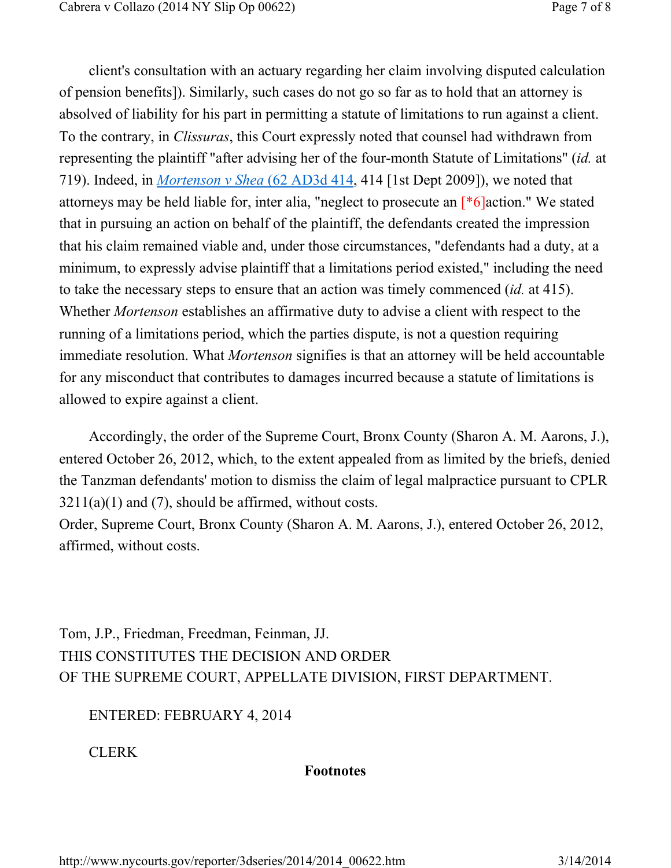client's consultation with an actuary regarding her claim involving disputed calculation of pension benefits]). Similarly, such cases do not go so far as to hold that an attorney is absolved of liability for his part in permitting a statute of limitations to run against a client. To the contrary, in *Clissuras*, this Court expressly noted that counsel had withdrawn from representing the plaintiff "after advising her of the four-month Statute of Limitations" (*id.* at 719). Indeed, in *Mortenson v Shea* (62 AD3d 414, 414 [1st Dept 2009]), we noted that attorneys may be held liable for, inter alia, "neglect to prosecute an [\*6]action." We stated that in pursuing an action on behalf of the plaintiff, the defendants created the impression that his claim remained viable and, under those circumstances, "defendants had a duty, at a minimum, to expressly advise plaintiff that a limitations period existed," including the need to take the necessary steps to ensure that an action was timely commenced (*id.* at 415). Whether *Mortenson* establishes an affirmative duty to advise a client with respect to the running of a limitations period, which the parties dispute, is not a question requiring immediate resolution. What *Mortenson* signifies is that an attorney will be held accountable for any misconduct that contributes to damages incurred because a statute of limitations is allowed to expire against a client.

Accordingly, the order of the Supreme Court, Bronx County (Sharon A. M. Aarons, J.), entered October 26, 2012, which, to the extent appealed from as limited by the briefs, denied the Tanzman defendants' motion to dismiss the claim of legal malpractice pursuant to CPLR  $3211(a)(1)$  and (7), should be affirmed, without costs.

Order, Supreme Court, Bronx County (Sharon A. M. Aarons, J.), entered October 26, 2012, affirmed, without costs.

Tom, J.P., Friedman, Freedman, Feinman, JJ. THIS CONSTITUTES THE DECISION AND ORDER OF THE SUPREME COURT, APPELLATE DIVISION, FIRST DEPARTMENT.

ENTERED: FEBRUARY 4, 2014

CLERK

#### **Footnotes**